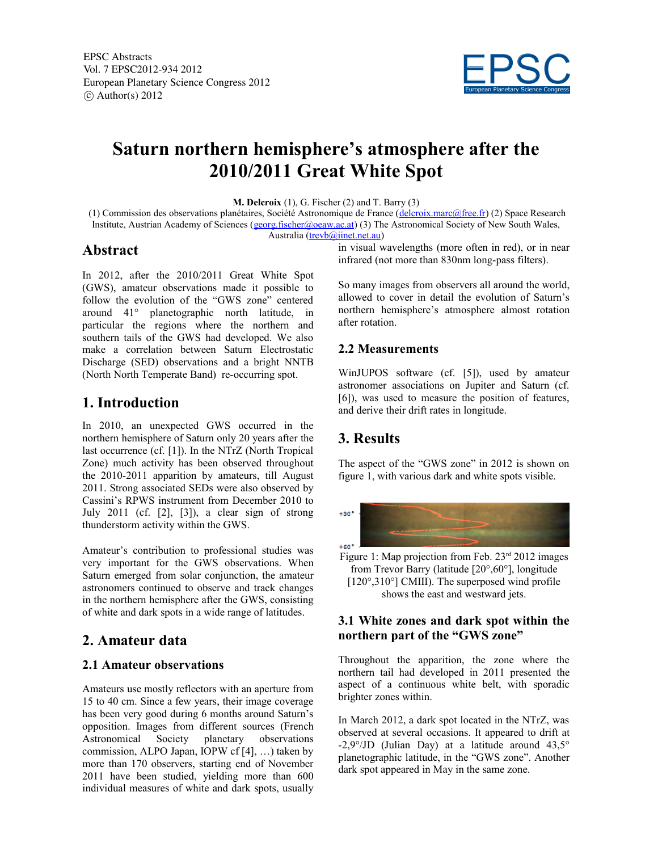

# **Saturn northern hemisphere's atmosphere after the 2010/2011 Great White Spot**

**M. Delcroix** (1), G. Fischer (2) and T. Barry (3)

 (1) Commission des observations planétaires, Société Astronomique de France (delcroix.marc@free.fr) (2) Space Research Institute, Austrian Academy of Sciences (georg.fischer@oeaw.ac.at) (3) The Astronomical Society of New South Wales, Australia (trevb@iinet.net.au)

#### **Abstract**

In 2012, after the 2010/2011 Great White Spot (GWS), amateur observations made it possible to follow the evolution of the "GWS zone" centered around 41° planetographic north latitude, in particular the regions where the northern and southern tails of the GWS had developed. We also make a correlation between Saturn Electrostatic Discharge (SED) observations and a bright NNTB (North North Temperate Band) re-occurring spot.

### **1. Introduction**

In 2010, an unexpected GWS occurred in the northern hemisphere of Saturn only 20 years after the last occurrence (cf. [1]). In the NTrZ (North Tropical Zone) much activity has been observed throughout the 2010-2011 apparition by amateurs, till August 2011. Strong associated SEDs were also observed by Cassini's RPWS instrument from December 2010 to July 2011 (cf. [2], [3]), a clear sign of strong thunderstorm activity within the GWS.

Amateur's contribution to professional studies was very important for the GWS observations. When Saturn emerged from solar conjunction, the amateur astronomers continued to observe and track changes in the northern hemisphere after the GWS, consisting of white and dark spots in a wide range of latitudes.

## **2. Amateur data**

#### **2.1 Amateur observations**

Amateurs use mostly reflectors with an aperture from 15 to 40 cm. Since a few years, their image coverage has been very good during 6 months around Saturn's opposition. Images from different sources (French Astronomical Society planetary observations commission, ALPO Japan, IOPW cf [4], …) taken by more than 170 observers, starting end of November 2011 have been studied, yielding more than 600 individual measures of white and dark spots, usually

in visual wavelengths (more often in red), or in near infrared (not more than 830nm long-pass filters).

So many images from observers all around the world, allowed to cover in detail the evolution of Saturn's northern hemisphere's atmosphere almost rotation after rotation.

#### **2.2 Measurements**

WinJUPOS software (cf. [5]), used by amateur astronomer associations on Jupiter and Saturn (cf. [6]), was used to measure the position of features, and derive their drift rates in longitude.

## **3. Results**

The aspect of the "GWS zone" in 2012 is shown on figure 1, with various dark and white spots visible.



Figure 1: Map projection from Feb.  $23<sup>rd</sup> 2012$  images from Trevor Barry (latitude [20°,60°], longitude [120°,310°] CMIII). The superposed wind profile shows the east and westward jets.

#### **3.1 White zones and dark spot within the northern part of the "GWS zone"**

Throughout the apparition, the zone where the northern tail had developed in 2011 presented the aspect of a continuous white belt, with sporadic brighter zones within.

In March 2012, a dark spot located in the NTrZ, was observed at several occasions. It appeared to drift at -2,9°/JD (Julian Day) at a latitude around 43,5° planetographic latitude, in the "GWS zone". Another dark spot appeared in May in the same zone.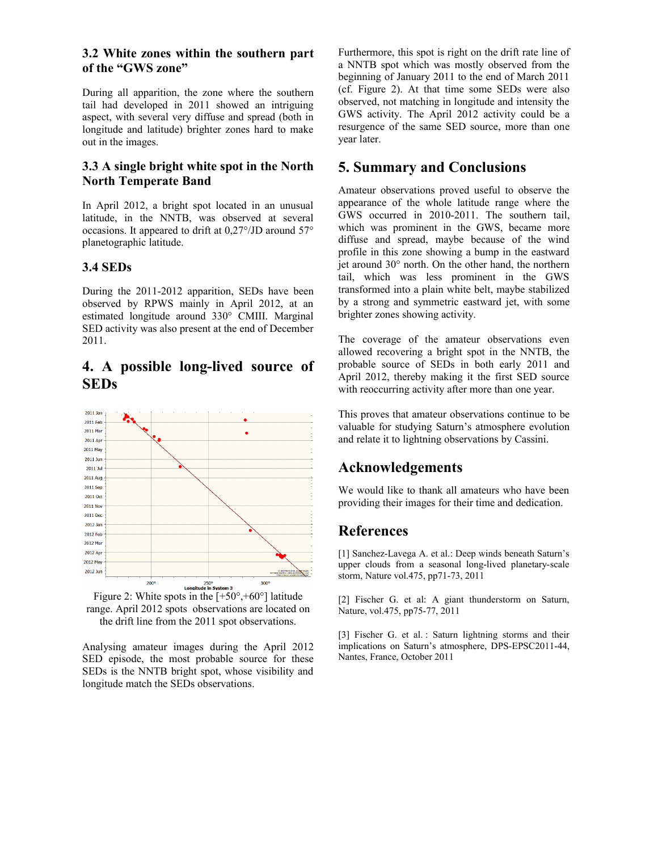#### **3.2 White zones within the southern part of the "GWS zone"**

During all apparition, the zone where the southern tail had developed in 2011 showed an intriguing aspect, with several very diffuse and spread (both in longitude and latitude) brighter zones hard to make out in the images.

#### **3.3 A single bright white spot in the North North Temperate Band**

In April 2012, a bright spot located in an unusual latitude, in the NNTB, was observed at several occasions. It appeared to drift at 0,27°/JD around 57° planetographic latitude.

#### **3.4 SEDs**

During the 2011-2012 apparition, SEDs have been observed by RPWS mainly in April 2012, at an estimated longitude around 330° CMIII. Marginal SED activity was also present at the end of December 2011.

### **4. A possible long-lived source of SEDs**



range. April 2012 spots observations are located on the drift line from the 2011 spot observations.

Analysing amateur images during the April 2012 SED episode, the most probable source for these SEDs is the NNTB bright spot, whose visibility and longitude match the SEDs observations.

Furthermore, this spot is right on the drift rate line of a NNTB spot which was mostly observed from the beginning of January 2011 to the end of March 2011 (cf. Figure 2). At that time some SEDs were also observed, not matching in longitude and intensity the GWS activity. The April 2012 activity could be a resurgence of the same SED source, more than one year later.

## **5. Summary and Conclusions**

Amateur observations proved useful to observe the appearance of the whole latitude range where the GWS occurred in 2010-2011. The southern tail, which was prominent in the GWS, became more diffuse and spread, maybe because of the wind profile in this zone showing a bump in the eastward jet around 30° north. On the other hand, the northern tail, which was less prominent in the GWS transformed into a plain white belt, maybe stabilized by a strong and symmetric eastward jet, with some brighter zones showing activity.

The coverage of the amateur observations even allowed recovering a bright spot in the NNTB, the probable source of SEDs in both early 2011 and April 2012, thereby making it the first SED source with reoccurring activity after more than one year.

This proves that amateur observations continue to be valuable for studying Saturn's atmosphere evolution and relate it to lightning observations by Cassini.

## **Acknowledgements**

We would like to thank all amateurs who have been providing their images for their time and dedication.

## **References**

[1] Sanchez-Lavega A. et al.: Deep winds beneath Saturn's upper clouds from a seasonal long-lived planetary-scale storm, Nature vol.475, pp71-73, 2011

[2] Fischer G. et al: A giant thunderstorm on Saturn, Nature, vol.475, pp75-77, 2011

[3] Fischer G. et al. : Saturn lightning storms and their implications on Saturn's atmosphere, DPS-EPSC2011-44, Nantes, France, October 2011